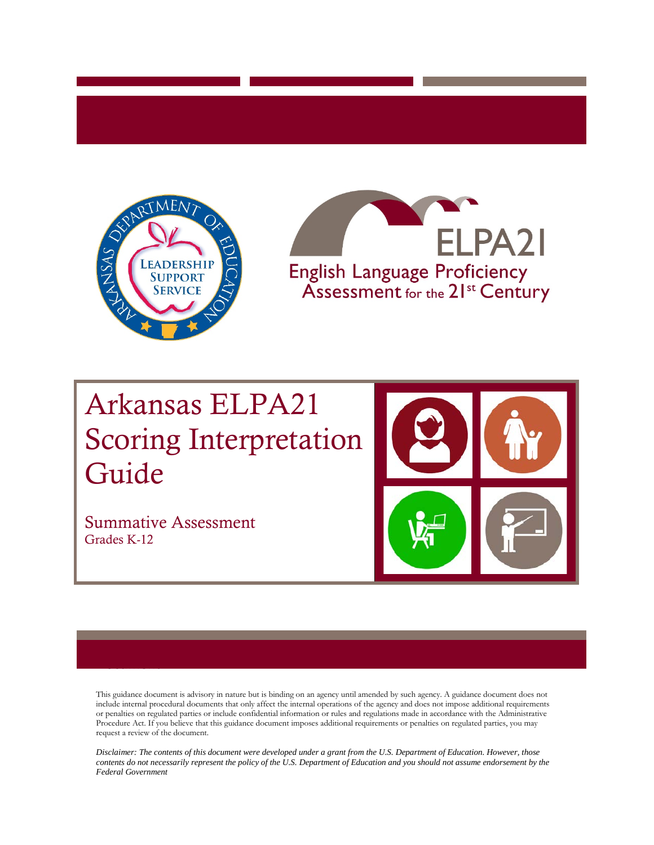



# Arkansas ELPA21 Scoring Interpretation Guide

Summative Assessment Grades K-12

**Document** 



This guidance document is advisory in nature but is binding on an agency until amended by such agency. A guidance document does not include internal procedural documents that only affect the internal operations of the agency and does not impose additional requirements or penalties on regulated parties or include confidential information or rules and regulations made in accordance with the Administrative Procedure Act. If you believe that this guidance document imposes additional requirements or penalties on regulated parties, you may request a review of the document.

*Disclaimer: The contents of this document were developed under a grant from the U.S. Department of Education. However, those contents do not necessarily represent the policy of the U.S. Department of Education and you should not assume endorsement by the Federal Government*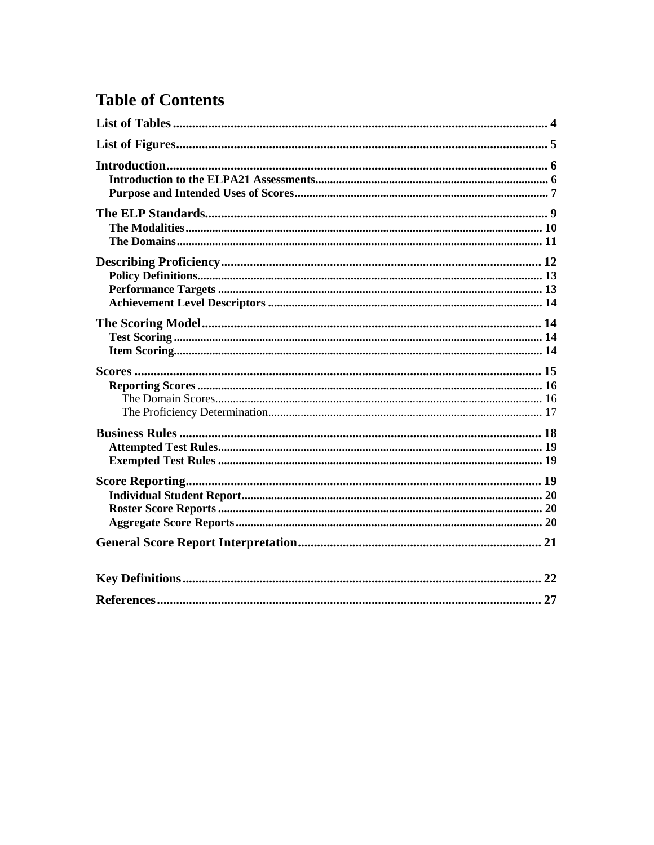# **Table of Contents**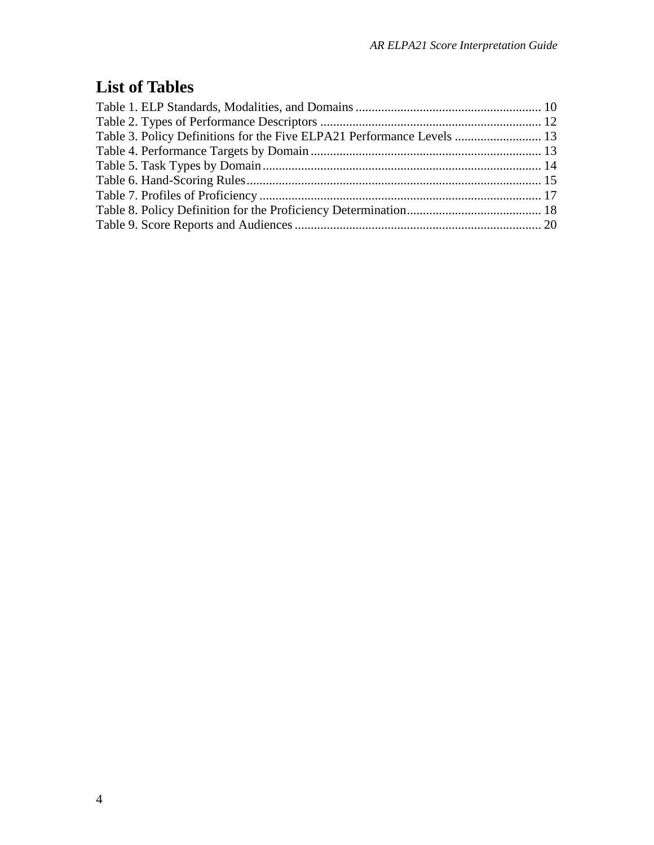# **List of Tables**

| Table 3. Policy Definitions for the Five ELPA21 Performance Levels  13 |  |
|------------------------------------------------------------------------|--|
|                                                                        |  |
|                                                                        |  |
|                                                                        |  |
|                                                                        |  |
|                                                                        |  |
|                                                                        |  |
|                                                                        |  |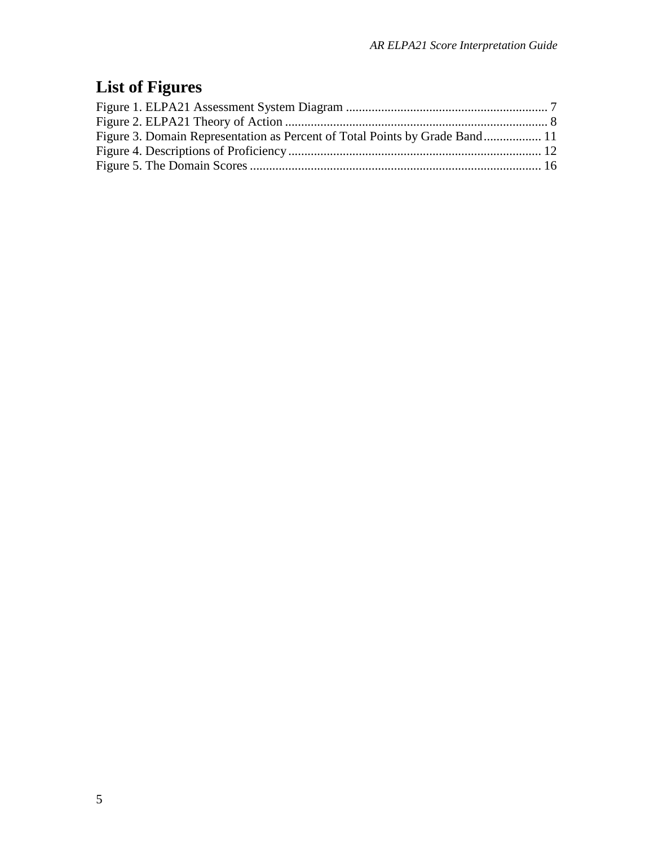# **List of Figures**

| Figure 3. Domain Representation as Percent of Total Points by Grade Band 11 |  |
|-----------------------------------------------------------------------------|--|
|                                                                             |  |
|                                                                             |  |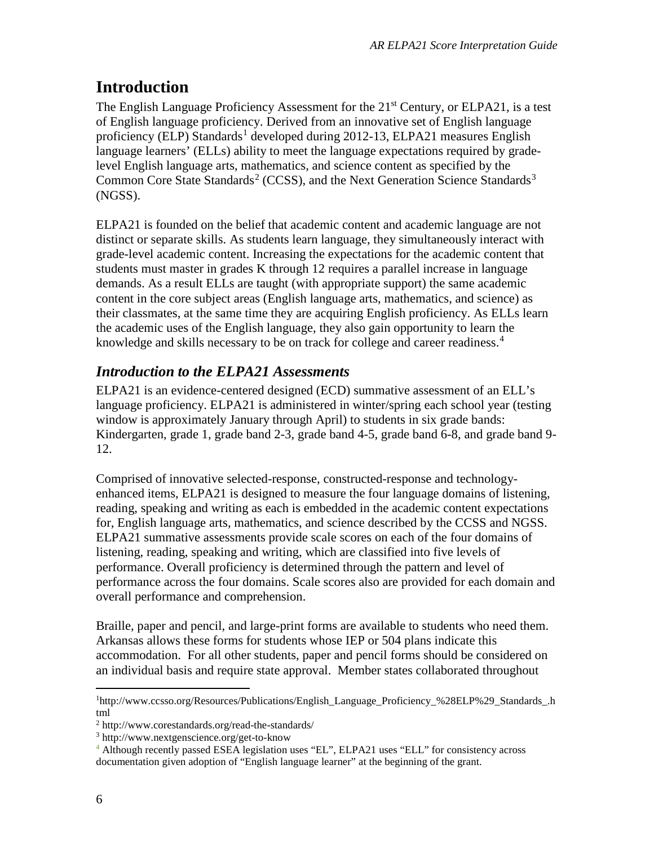# **Introduction**

The English Language Proficiency Assessment for the 21<sup>st</sup> Century, or ELPA21, is a test of English language proficiency. Derived from an innovative set of English language proficiency (ELP) Standards<sup>[1](#page-5-0)</sup> developed during 2012-13, ELPA21 measures English language learners' (ELLs) ability to meet the language expectations required by gradelevel English language arts, mathematics, and science content as specified by the Common Core State Standards<sup>[2](#page-5-1)</sup> (CCSS), and the Next Generation Science Standards<sup>[3](#page-5-2)</sup> (NGSS).

ELPA21 is founded on the belief that academic content and academic language are not distinct or separate skills. As students learn language, they simultaneously interact with grade-level academic content. Increasing the expectations for the academic content that students must master in grades K through 12 requires a parallel increase in language demands. As a result ELLs are taught (with appropriate support) the same academic content in the core subject areas (English language arts, mathematics, and science) as their classmates, at the same time they are acquiring English proficiency. As ELLs learn the academic uses of the English language, they also gain opportunity to learn the knowledge and skills necessary to be on track for college and career readiness.<sup>[4](#page-5-3)</sup>

# *Introduction to the ELPA21 Assessments*

ELPA21 is an evidence-centered designed (ECD) summative assessment of an ELL's language proficiency. ELPA21 is administered in winter/spring each school year (testing window is approximately January through April) to students in six grade bands: Kindergarten, grade 1, grade band 2-3, grade band 4-5, grade band 6-8, and grade band 9- 12.

Comprised of innovative selected-response, constructed-response and technologyenhanced items, ELPA21 is designed to measure the four language domains of listening, reading, speaking and writing as each is embedded in the academic content expectations for, English language arts, mathematics, and science described by the CCSS and NGSS. ELPA21 summative assessments provide scale scores on each of the four domains of listening, reading, speaking and writing, which are classified into five levels of performance. Overall proficiency is determined through the pattern and level of performance across the four domains. Scale scores also are provided for each domain and overall performance and comprehension.

Braille, paper and pencil, and large-print forms are available to students who need them. Arkansas allows these forms for students whose IEP or 504 plans indicate this accommodation. For all other students, paper and pencil forms should be considered on an individual basis and require state approval. Member states collaborated throughout

<span id="page-5-0"></span> $\frac{1}{1}$ <sup>1</sup>[http://www.ccsso.org/Resources/Publications/English\\_Language\\_Proficiency\\_%28ELP%29\\_Standards\\_.h](http://www.ccsso.org/Resources/Publications/English_Language_Proficiency_%28ELP%29_Standards_.html) [tml](http://www.ccsso.org/Resources/Publications/English_Language_Proficiency_%28ELP%29_Standards_.html)

<span id="page-5-1"></span><sup>2</sup> http://www.corestandards.org/read-the-standards/

<span id="page-5-2"></span><sup>3</sup> http://www.nextgenscience.org/get-to-know

<span id="page-5-3"></span><sup>4</sup> Although recently passed ESEA legislation uses "EL", ELPA21 uses "ELL" for consistency across documentation given adoption of "English language learner" at the beginning of the grant.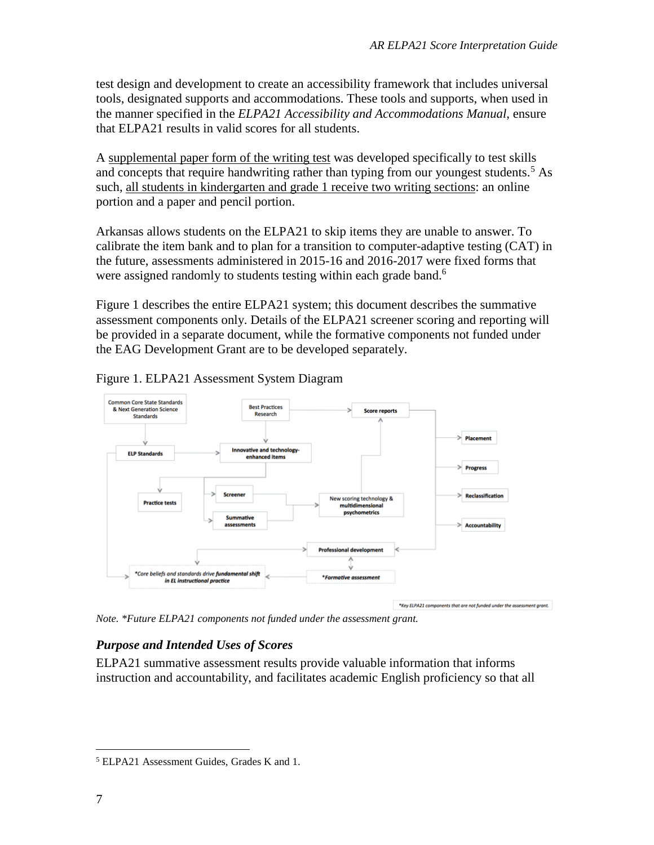test design and development to create an accessibility framework that includes universal tools, designated supports and accommodations. These tools and supports, when used in the manner specified in the *ELPA21 Accessibility and Accommodations Manual*, ensure that ELPA21 results in valid scores for all students.

A supplemental paper form of the writing test was developed specifically to test skills and concepts that require handwriting rather than typing from our youngest students. [5](#page-6-1) As such, all students in kindergarten and grade 1 receive two writing sections: an online portion and a paper and pencil portion.

Arkansas allows students on the ELPA21 to skip items they are unable to answer. To calibrate the item bank and to plan for a transition to computer-adaptive testing (CAT) in the future, assessments administered in 2015-16 and 2016-2017 were fixed forms that were assigned randomly to students testing within each grade band.<sup>6</sup>

[Figure 1](#page-6-0) describes the entire ELPA21 system; this document describes the summative assessment components only. Details of the ELPA21 screener scoring and reporting will be provided in a separate document, while the formative components not funded under the EAG Development Grant are to be developed separately.



<span id="page-6-0"></span>Figure 1. ELPA21 Assessment System Diagram

*Note. \*Future ELPA21 components not funded under the assessment grant.* 

#### *Purpose and Intended Uses of Scores*

ELPA21 summative assessment results provide valuable information that informs instruction and accountability, and facilitates academic English proficiency so that all

<span id="page-6-1"></span> <sup>5</sup> ELPA21 Assessment Guides, Grades K and 1.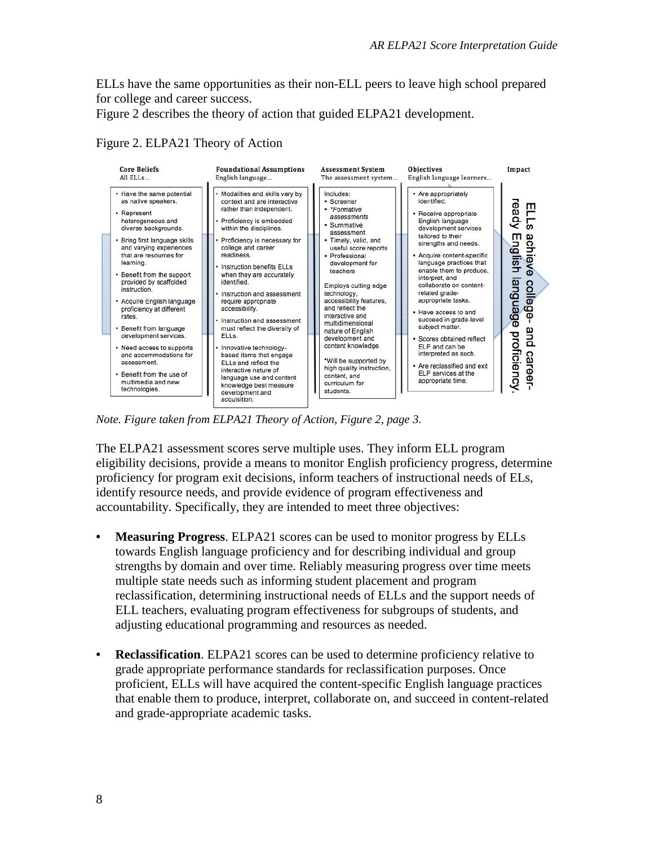ELLs have the same opportunities as their non-ELL peers to leave high school prepared for college and career success.

<span id="page-7-0"></span>[Figure 2](#page-7-0) describes the theory of action that guided ELPA21 development.



Figure 2. ELPA21 Theory of Action

*Note. Figure taken from ELPA21 Theory of Action, Figure 2, page 3.* 

The ELPA21 assessment scores serve multiple uses. They inform ELL program eligibility decisions, provide a means to monitor English proficiency progress, determine proficiency for program exit decisions, inform teachers of instructional needs of ELs, identify resource needs, and provide evidence of program effectiveness and accountability. Specifically, they are intended to meet three objectives:

- **Measuring Progress**. ELPA21 scores can be used to monitor progress by ELLs towards English language proficiency and for describing individual and group strengths by domain and over time. Reliably measuring progress over time meets multiple state needs such as informing student placement and program reclassification, determining instructional needs of ELLs and the support needs of ELL teachers, evaluating program effectiveness for subgroups of students, and adjusting educational programming and resources as needed.
- **Reclassification**. ELPA21 scores can be used to determine proficiency relative to grade appropriate performance standards for reclassification purposes. Once proficient, ELLs will have acquired the content-specific English language practices that enable them to produce, interpret, collaborate on, and succeed in content-related and grade-appropriate academic tasks.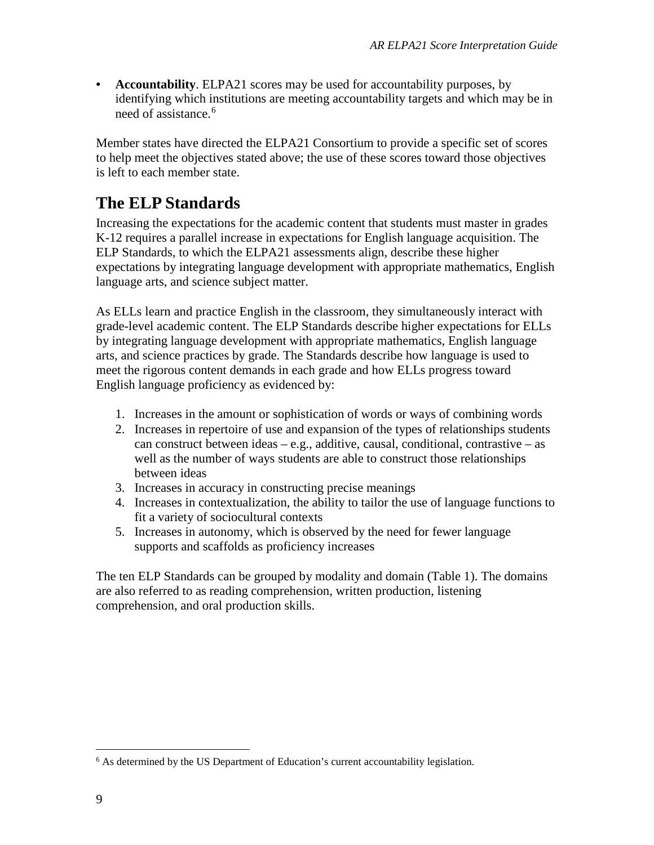• **Accountability**. ELPA21 scores may be used for accountability purposes, by identifying which institutions are meeting accountability targets and which may be in need of assistance.<sup>[6](#page-8-0)</sup>

Member states have directed the ELPA21 Consortium to provide a specific set of scores to help meet the objectives stated above; the use of these scores toward those objectives is left to each member state.

# **The ELP Standards**

Increasing the expectations for the academic content that students must master in grades K-12 requires a parallel increase in expectations for English language acquisition. The ELP Standards, to which the ELPA21 assessments align, describe these higher expectations by integrating language development with appropriate mathematics, English language arts, and science subject matter.

As ELLs learn and practice English in the classroom, they simultaneously interact with grade-level academic content. The ELP Standards describe higher expectations for ELLs by integrating language development with appropriate mathematics, English language arts, and science practices by grade. The Standards describe how language is used to meet the rigorous content demands in each grade and how ELLs progress toward English language proficiency as evidenced by:

- 1. Increases in the amount or sophistication of words or ways of combining words
- 2. Increases in repertoire of use and expansion of the types of relationships students can construct between ideas – e.g., additive, causal, conditional, contrastive – as well as the number of ways students are able to construct those relationships between ideas
- 3. Increases in accuracy in constructing precise meanings
- 4. Increases in contextualization, the ability to tailor the use of language functions to fit a variety of sociocultural contexts
- 5. Increases in autonomy, which is observed by the need for fewer language supports and scaffolds as proficiency increases

The ten ELP Standards can be grouped by modality and domain [\(Table 1\)](#page-9-0). The domains are also referred to as reading comprehension, written production, listening comprehension, and oral production skills.

<span id="page-8-0"></span><sup>&</sup>lt;sup>6</sup> As determined by the US Department of Education's current accountability legislation.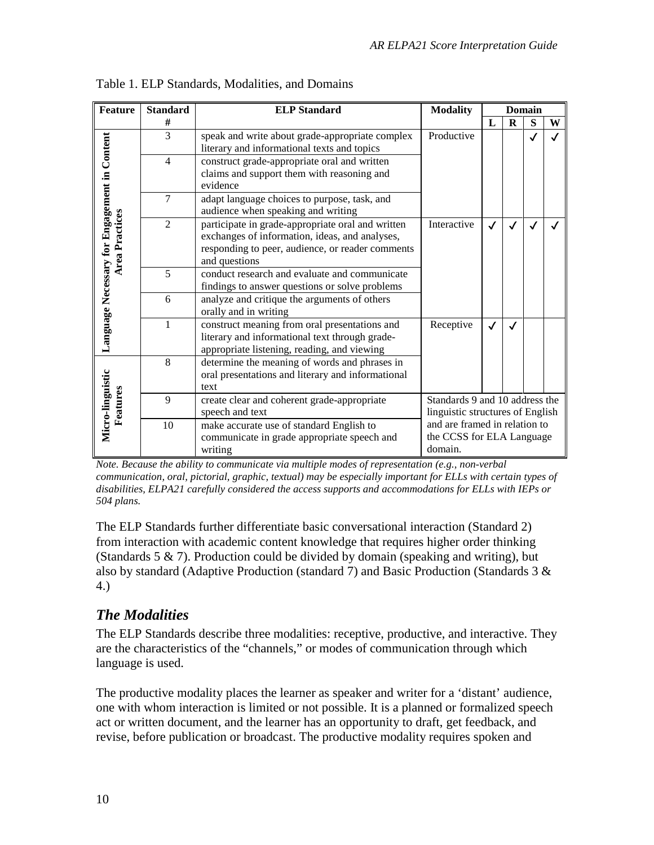| <b>Feature</b>                                                                                           | <b>ELP</b> Standard<br><b>Standard</b>                                                                                   |                                                                                                                                                                          | <b>Modality</b>                                                    |   |   | <b>Domain</b> |   |
|----------------------------------------------------------------------------------------------------------|--------------------------------------------------------------------------------------------------------------------------|--------------------------------------------------------------------------------------------------------------------------------------------------------------------------|--------------------------------------------------------------------|---|---|---------------|---|
|                                                                                                          | #                                                                                                                        |                                                                                                                                                                          |                                                                    | L | R | S             | W |
|                                                                                                          | 3                                                                                                                        | speak and write about grade-appropriate complex<br>literary and informational texts and topics                                                                           | Productive                                                         |   |   | √             |   |
|                                                                                                          | construct grade-appropriate oral and written<br>$\overline{4}$<br>claims and support them with reasoning and<br>evidence |                                                                                                                                                                          |                                                                    |   |   |               |   |
|                                                                                                          | 7                                                                                                                        | adapt language choices to purpose, task, and<br>audience when speaking and writing                                                                                       |                                                                    |   |   |               |   |
| Language Necessary for Engagement in Content<br><b>Area Practices</b>                                    | $\overline{\mathcal{L}}$                                                                                                 | participate in grade-appropriate oral and written<br>exchanges of information, ideas, and analyses,<br>responding to peer, audience, or reader comments<br>and questions | Interactive<br>$\checkmark$                                        |   |   |               |   |
|                                                                                                          | 5                                                                                                                        | conduct research and evaluate and communicate<br>findings to answer questions or solve problems                                                                          |                                                                    |   |   |               |   |
|                                                                                                          | 6                                                                                                                        | analyze and critique the arguments of others<br>orally and in writing                                                                                                    |                                                                    |   |   |               |   |
|                                                                                                          |                                                                                                                          | construct meaning from oral presentations and<br>literary and informational text through grade-<br>appropriate listening, reading, and viewing                           | Receptive                                                          |   |   |               |   |
|                                                                                                          | 8                                                                                                                        | determine the meaning of words and phrases in<br>oral presentations and literary and informational<br>text                                                               |                                                                    |   |   |               |   |
| Micro-linguistic<br>Features                                                                             | 9                                                                                                                        | create clear and coherent grade-appropriate<br>speech and text                                                                                                           | Standards 9 and 10 address the<br>linguistic structures of English |   |   |               |   |
| 10<br>make accurate use of standard English to<br>communicate in grade appropriate speech and<br>writing |                                                                                                                          | and are framed in relation to<br>the CCSS for ELA Language<br>domain.                                                                                                    |                                                                    |   |   |               |   |

<span id="page-9-0"></span>Table 1. ELP Standards, Modalities, and Domains

*Note. Because the ability to communicate via multiple modes of representation (e.g., non-verbal communication, oral, pictorial, graphic, textual) may be especially important for ELLs with certain types of disabilities, ELPA21 carefully considered the access supports and accommodations for ELLs with IEPs or 504 plans.*

The ELP Standards further differentiate basic conversational interaction (Standard 2) from interaction with academic content knowledge that requires higher order thinking (Standards 5  $\&$  7). Production could be divided by domain (speaking and writing), but also by standard (Adaptive Production (standard 7) and Basic Production (Standards 3 & 4.)

#### *The Modalities*

The ELP Standards describe three modalities: receptive, productive, and interactive. They are the characteristics of the "channels," or modes of communication through which language is used.

The productive modality places the learner as speaker and writer for a 'distant' audience, one with whom interaction is limited or not possible. It is a planned or formalized speech act or written document, and the learner has an opportunity to draft, get feedback, and revise, before publication or broadcast. The productive modality requires spoken and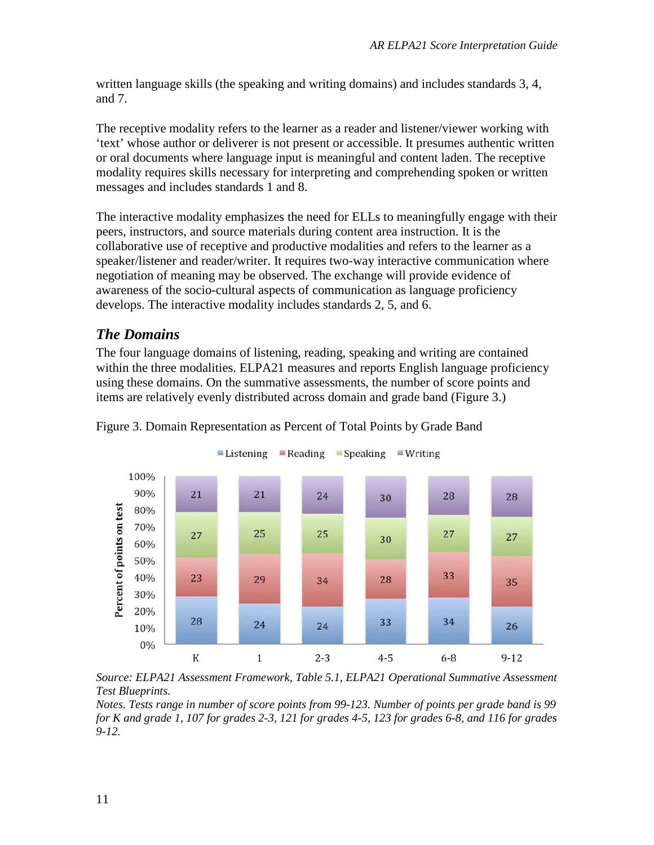written language skills (the speaking and writing domains) and includes standards 3, 4, and 7.

The receptive modality refers to the learner as a reader and listener/viewer working with 'text' whose author or deliverer is not present or accessible. It presumes authentic written or oral documents where language input is meaningful and content laden. The receptive modality requires skills necessary for interpreting and comprehending spoken or written messages and includes standards 1 and 8.

The interactive modality emphasizes the need for ELLs to meaningfully engage with their peers, instructors, and source materials during content area instruction. It is the collaborative use of receptive and productive modalities and refers to the learner as a speaker/listener and reader/writer. It requires two-way interactive communication where negotiation of meaning may be observed. The exchange will provide evidence of awareness of the socio-cultural aspects of communication as language proficiency develops. The interactive modality includes standards 2, 5, and 6.

#### *The Domains*

The four language domains of listening, reading, speaking and writing are contained within the three modalities. ELPA21 measures and reports English language proficiency using these domains. On the summative assessments, the number of score points and items are relatively evenly distributed across domain and grade band [\(Figure 3.](#page-10-0))



<span id="page-10-0"></span>Figure 3. Domain Representation as Percent of Total Points by Grade Band

*Source: ELPA21 Assessment Framework, Table 5.1, ELPA21 Operational Summative Assessment Test Blueprints.* 

*Notes. Tests range in number of score points from 99-123. Number of points per grade band is 99 for K and grade 1, 107 for grades 2-3, 121 for grades 4-5, 123 for grades 6-8, and 116 for grades 9-12.*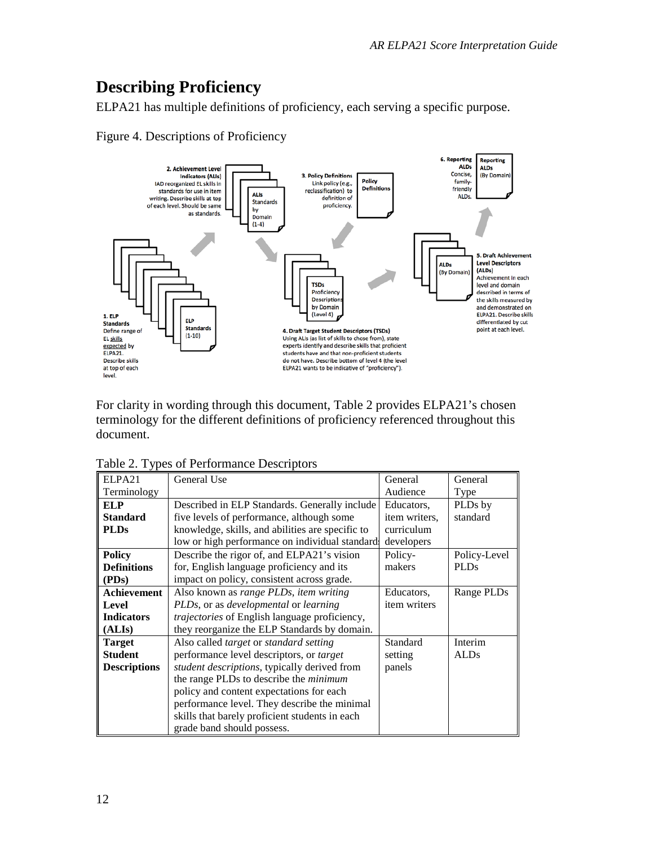# **Describing Proficiency**

ELPA21 has multiple definitions of proficiency, each serving a specific purpose.





For clarity in wording through this document, [Table 2](#page-11-0) provides ELPA21's chosen terminology for the different definitions of proficiency referenced throughout this document.

| ELPA21              | General Use                                          | General       | General      |
|---------------------|------------------------------------------------------|---------------|--------------|
| Terminology         |                                                      | Audience      | Type         |
| <b>ELP</b>          | Described in ELP Standards. Generally include        | Educators,    | PLDs by      |
| <b>Standard</b>     | five levels of performance, although some            | item writers, | standard     |
| <b>PLDs</b>         | knowledge, skills, and abilities are specific to     | curriculum    |              |
|                     | low or high performance on individual standard       | developers    |              |
| <b>Policy</b>       | Describe the rigor of, and ELPA21's vision           | Policy-       | Policy-Level |
| <b>Definitions</b>  | for, English language proficiency and its            | makers        | <b>PLDs</b>  |
| (PDs)               | impact on policy, consistent across grade.           |               |              |
| Achievement         | Also known as range PLDs, item writing               | Educators,    | Range PLDs   |
| Level               | PLDs, or as <i>developmental</i> or <i>learning</i>  | item writers  |              |
| <b>Indicators</b>   | <i>trajectories</i> of English language proficiency, |               |              |
| (ALIs)              | they reorganize the ELP Standards by domain.         |               |              |
| <b>Target</b>       | Also called target or standard setting               | Standard      | Interim      |
| <b>Student</b>      | performance level descriptors, or <i>target</i>      | setting       | <b>ALDs</b>  |
| <b>Descriptions</b> | <i>student descriptions</i> , typically derived from | panels        |              |
|                     | the range PLDs to describe the <i>minimum</i>        |               |              |
|                     | policy and content expectations for each             |               |              |
|                     | performance level. They describe the minimal         |               |              |
|                     | skills that barely proficient students in each       |               |              |
|                     | grade band should possess.                           |               |              |

<span id="page-11-0"></span>Table 2. Types of Performance Descriptors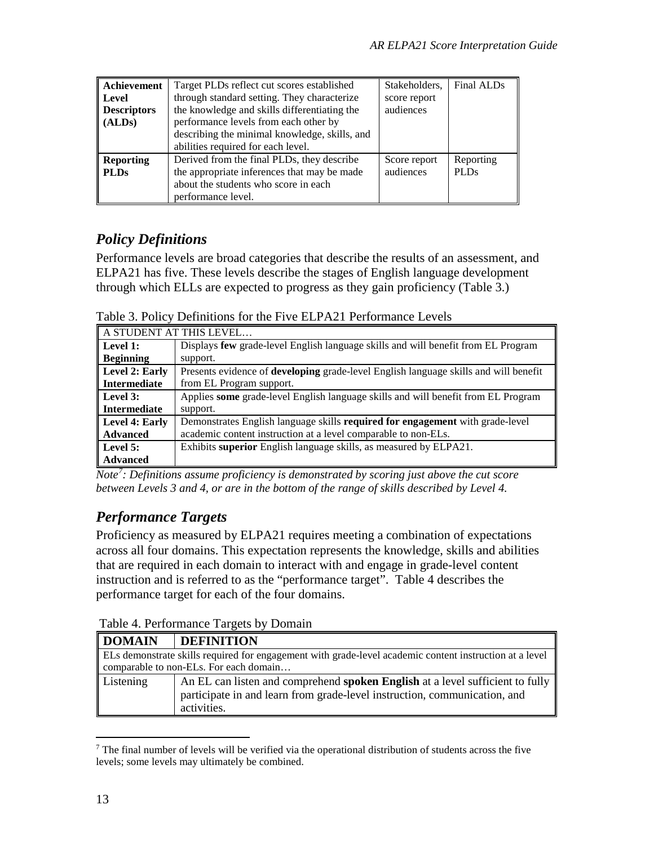| Achievement        | Target PLDs reflect cut scores established    | Stakeholders, | Final ALDs  |
|--------------------|-----------------------------------------------|---------------|-------------|
| Level              | through standard setting. They characterize   | score report  |             |
| <b>Descriptors</b> | the knowledge and skills differentiating the  | audiences     |             |
| (ALDs)             | performance levels from each other by         |               |             |
|                    | describing the minimal knowledge, skills, and |               |             |
|                    | abilities required for each level.            |               |             |
| <b>Reporting</b>   | Derived from the final PLDs, they describe    | Score report  | Reporting   |
| <b>PLDs</b>        | the appropriate inferences that may be made   | audiences     | <b>PLDs</b> |
|                    | about the students who score in each          |               |             |
|                    | performance level.                            |               |             |

### *Policy Definitions*

Performance levels are broad categories that describe the results of an assessment, and ELPA21 has five. These levels describe the stages of English language development through which ELLs are expected to progress as they gain proficiency [\(Table 3.](#page-12-0))

<span id="page-12-0"></span>Table 3. Policy Definitions for the Five ELPA21 Performance Levels

|                      | A STUDENT AT THIS LEVEL                                                                     |
|----------------------|---------------------------------------------------------------------------------------------|
| $\parallel$ Level 1: | Displays few grade-level English language skills and will benefit from EL Program           |
| <b>Beginning</b>     | support.                                                                                    |
| Level 2: Early       | Presents evidence of <b>developing</b> grade-level English language skills and will benefit |
| <b>Intermediate</b>  | from EL Program support.                                                                    |
| $\parallel$ Level 3: | Applies some grade-level English language skills and will benefit from EL Program           |
| Intermediate         | support.                                                                                    |
| Level 4: Early       | Demonstrates English language skills required for engagement with grade-level               |
| Advanced             | academic content instruction at a level comparable to non-ELs.                              |
| $\parallel$ Level 5: | Exhibits superior English language skills, as measured by ELPA21.                           |
| Advanced             |                                                                                             |

*Note[7](#page-12-2) : Definitions assume proficiency is demonstrated by scoring just above the cut score between Levels 3 and 4, or are in the bottom of the range of skills described by Level 4.* 

### *Performance Targets*

Proficiency as measured by ELPA21 requires meeting a combination of expectations across all four domains. This expectation represents the knowledge, skills and abilities that are required in each domain to interact with and engage in grade-level content instruction and is referred to as the "performance target". [Table 4](#page-12-1) describes the performance target for each of the four domains.

<span id="page-12-1"></span>

| <b>DOMAIN</b> | <b>DEFINITION</b>                                                                                       |  |  |  |
|---------------|---------------------------------------------------------------------------------------------------------|--|--|--|
|               | ELs demonstrate skills required for engagement with grade-level academic content instruction at a level |  |  |  |
|               | comparable to non-ELs. For each domain                                                                  |  |  |  |
| Listening     | An EL can listen and comprehend spoken English at a level sufficient to fully                           |  |  |  |
|               | participate in and learn from grade-level instruction, communication, and                               |  |  |  |
|               | activities.                                                                                             |  |  |  |

<span id="page-12-2"></span> $<sup>7</sup>$  The final number of levels will be verified via the operational distribution of students across the five</sup> levels; some levels may ultimately be combined.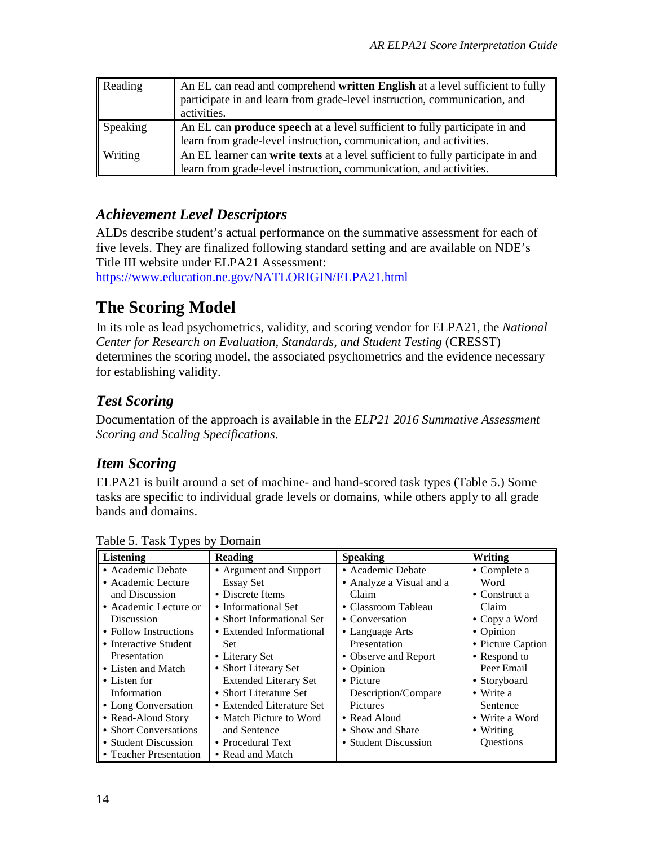| Reading         | An EL can read and comprehend written English at a level sufficient to fully<br>participate in and learn from grade-level instruction, communication, and |
|-----------------|-----------------------------------------------------------------------------------------------------------------------------------------------------------|
|                 | activities.                                                                                                                                               |
| <b>Speaking</b> | An EL can <b>produce speech</b> at a level sufficient to fully participate in and                                                                         |
|                 | learn from grade-level instruction, communication, and activities.                                                                                        |
| <b>Writing</b>  | An EL learner can write texts at a level sufficient to fully participate in and                                                                           |
|                 | learn from grade-level instruction, communication, and activities.                                                                                        |

#### *Achievement Level Descriptors*

ALDs describe student's actual performance on the summative assessment for each of five levels. They are finalized following standard setting and are available on NDE's Title III website under ELPA21 Assessment:

<https://www.education.ne.gov/NATLORIGIN/ELPA21.html>

# **The Scoring Model**

In its role as lead psychometrics, validity, and scoring vendor for ELPA21, the *National Center for Research on Evaluation, Standards, and Student Testing* (CRESST) determines the scoring model, the associated psychometrics and the evidence necessary for establishing validity.

### *Test Scoring*

Documentation of the approach is available in the *ELP21 2016 Summative Assessment Scoring and Scaling Specifications*.

#### *Item Scoring*

ELPA21 is built around a set of machine- and hand-scored task types [\(Table 5.](#page-13-0)) Some tasks are specific to individual grade levels or domains, while others apply to all grade bands and domains.

| <b>Listening</b>       | Reading                      | <b>Speaking</b>          | Writing               |
|------------------------|------------------------------|--------------------------|-----------------------|
| • Academic Debate      | • Argument and Support       | • Academic Debate        | • Complete a          |
| • Academic Lecture     | <b>Essay Set</b>             | • Analyze a Visual and a | Word                  |
| and Discussion         | • Discrete Items             | Claim                    | $\bullet$ Construct a |
| • Academic Lecture or  | • Informational Set          | • Classroom Tableau      | Claim                 |
| <b>Discussion</b>      | • Short Informational Set    | • Conversation           | $\bullet$ Copy a Word |
| • Follow Instructions  | • Extended Informational     | • Language Arts          | • Opinion             |
| • Interactive Student  | <b>Set</b>                   | Presentation             | • Picture Caption     |
| Presentation           | • Literary Set               | • Observe and Report     | • Respond to          |
| • Listen and Match     | • Short Literary Set         | • Opinion                | Peer Email            |
| • Listen for           | <b>Extended Literary Set</b> | $\bullet$ Picture        | • Storyboard          |
| Information            | • Short Literature Set       | Description/Compare      | $\bullet$ Write a     |
| • Long Conversation    | • Extended Literature Set    | <b>Pictures</b>          | Sentence              |
| • Read-Aloud Story     | • Match Picture to Word      | • Read Aloud             | • Write a Word        |
| • Short Conversations  | and Sentence                 | • Show and Share         | $\bullet$ Writing     |
| • Student Discussion   | • Procedural Text            | • Student Discussion     | Questions             |
| • Teacher Presentation | • Read and Match             |                          |                       |

<span id="page-13-0"></span>Table 5. Task Types by Domain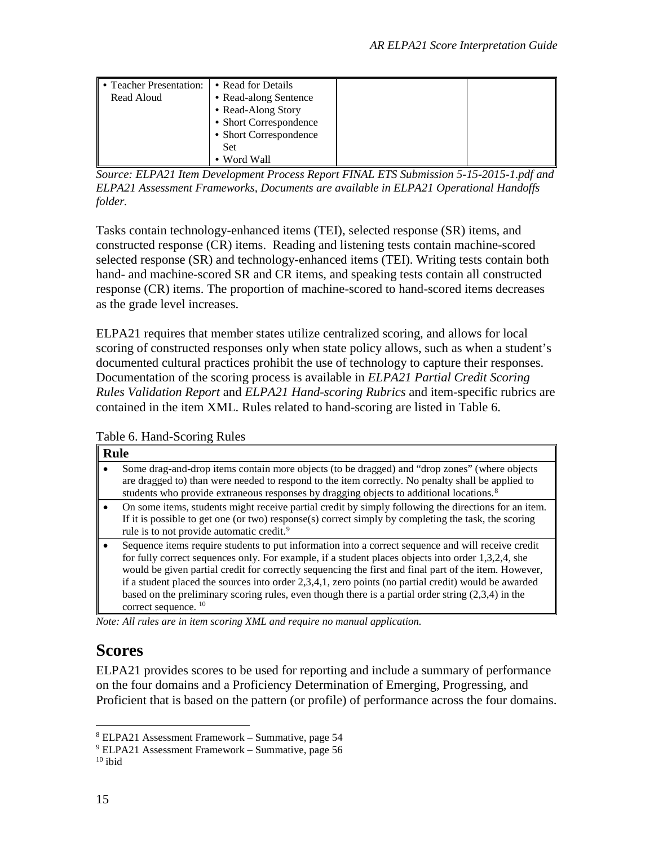| lo Teacher Presentation: I | • Read for Details     |  |
|----------------------------|------------------------|--|
| Read Aloud                 | • Read-along Sentence  |  |
|                            | • Read-Along Story     |  |
|                            | • Short Correspondence |  |
|                            | • Short Correspondence |  |
|                            | <b>Set</b>             |  |
|                            | • Word Wall            |  |

*Source: ELPA21 Item Development Process Report FINAL ETS Submission 5-15-2015-1.pdf and ELPA21 Assessment Frameworks, Documents are available in ELPA21 Operational Handoffs folder.* 

Tasks contain technology-enhanced items (TEI), selected response (SR) items, and constructed response (CR) items. Reading and listening tests contain machine-scored selected response (SR) and technology-enhanced items (TEI). Writing tests contain both hand- and machine-scored SR and CR items, and speaking tests contain all constructed response (CR) items. The proportion of machine-scored to hand-scored items decreases as the grade level increases.

ELPA21 requires that member states utilize centralized scoring, and allows for local scoring of constructed responses only when state policy allows, such as when a student's documented cultural practices prohibit the use of technology to capture their responses. Documentation of the scoring process is available in *ELPA21 Partial Credit Scoring Rules Validation Report* and *ELPA21 Hand-scoring Rubrics* and item-specific rubrics are contained in the item XML. Rules related to hand-scoring are listed in [Table 6.](#page-14-0)

<span id="page-14-0"></span>Table 6. Hand-Scoring Rules

| <b>Rule</b>                                                                                                                                                                                                                                                                                                                                                                                                                                                                                                                                                          |  |  |
|----------------------------------------------------------------------------------------------------------------------------------------------------------------------------------------------------------------------------------------------------------------------------------------------------------------------------------------------------------------------------------------------------------------------------------------------------------------------------------------------------------------------------------------------------------------------|--|--|
| Some drag-and-drop items contain more objects (to be dragged) and "drop zones" (where objects<br>are dragged to) than were needed to respond to the item correctly. No penalty shall be applied to<br>students who provide extraneous responses by dragging objects to additional locations. <sup>8</sup>                                                                                                                                                                                                                                                            |  |  |
| On some items, students might receive partial credit by simply following the directions for an item.<br>If it is possible to get one (or two) response(s) correct simply by completing the task, the scoring<br>rule is to not provide automatic credit. <sup>9</sup>                                                                                                                                                                                                                                                                                                |  |  |
| Sequence items require students to put information into a correct sequence and will receive credit<br>for fully correct sequences only. For example, if a student places objects into order 1,3,2,4, she<br>would be given partial credit for correctly sequencing the first and final part of the item. However,<br>if a student placed the sources into order 2,3,4,1, zero points (no partial credit) would be awarded<br>based on the preliminary scoring rules, even though there is a partial order string $(2,3,4)$ in the<br>correct sequence. <sup>10</sup> |  |  |

*Note: All rules are in item scoring XML and require no manual application.*

# **Scores**

ELPA21 provides scores to be used for reporting and include a summary of performance on the four domains and a Proficiency Determination of Emerging, Progressing, and Proficient that is based on the pattern (or profile) of performance across the four domains.

<span id="page-14-1"></span> <sup>8</sup> ELPA21 Assessment Framework – Summative, page 54

<span id="page-14-2"></span><sup>9</sup> ELPA21 Assessment Framework – Summative, page 56

<span id="page-14-3"></span> $10$  ibid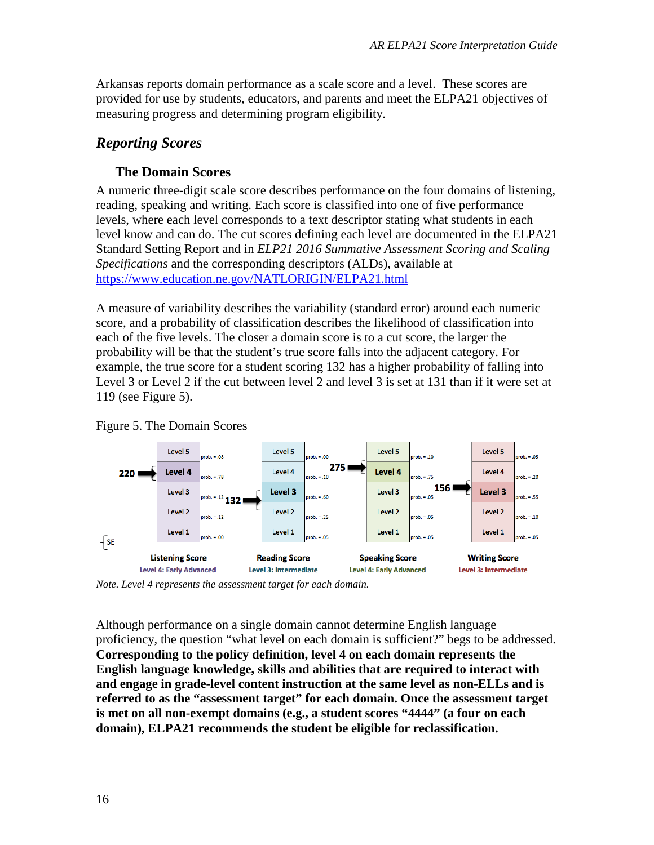Arkansas reports domain performance as a scale score and a level. These scores are provided for use by students, educators, and parents and meet the ELPA21 objectives of measuring progress and determining program eligibility.

#### *Reporting Scores*

#### **The Domain Scores**

A numeric three-digit scale score describes performance on the four domains of listening, reading, speaking and writing. Each score is classified into one of five performance levels, where each level corresponds to a text descriptor stating what students in each level know and can do. The cut scores defining each level are documented in the ELPA21 Standard Setting Report and in *ELP21 2016 Summative Assessment Scoring and Scaling Specifications* and the corresponding descriptors (ALDs), available at <https://www.education.ne.gov/NATLORIGIN/ELPA21.html>

A measure of variability describes the variability (standard error) around each numeric score, and a probability of classification describes the likelihood of classification into each of the five levels. The closer a domain score is to a cut score, the larger the probability will be that the student's true score falls into the adjacent category. For example, the true score for a student scoring 132 has a higher probability of falling into Level 3 or Level 2 if the cut between level 2 and level 3 is set at 131 than if it were set at 119 (see [Figure 5\)](#page-15-0).



<span id="page-15-0"></span>

*Note. Level 4 represents the assessment target for each domain.* 

Although performance on a single domain cannot determine English language proficiency, the question "what level on each domain is sufficient?" begs to be addressed. **Corresponding to the policy definition, level 4 on each domain represents the English language knowledge, skills and abilities that are required to interact with and engage in grade-level content instruction at the same level as non-ELLs and is referred to as the "assessment target" for each domain. Once the assessment target is met on all non-exempt domains (e.g., a student scores "4444" (a four on each domain), ELPA21 recommends the student be eligible for reclassification.**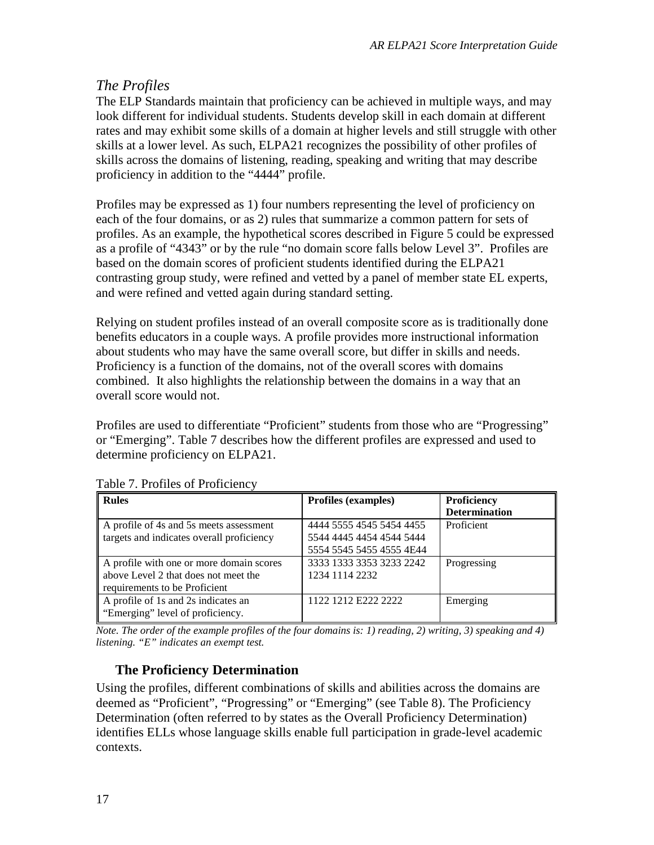#### *The Profiles*

The ELP Standards maintain that proficiency can be achieved in multiple ways, and may look different for individual students. Students develop skill in each domain at different rates and may exhibit some skills of a domain at higher levels and still struggle with other skills at a lower level. As such, ELPA21 recognizes the possibility of other profiles of skills across the domains of listening, reading, speaking and writing that may describe proficiency in addition to the "4444" profile.

Profiles may be expressed as 1) four numbers representing the level of proficiency on each of the four domains, or as 2) rules that summarize a common pattern for sets of profiles. As an example, the hypothetical scores described in [Figure 5](#page-15-0) could be expressed as a profile of "4343" or by the rule "no domain score falls below Level 3". Profiles are based on the domain scores of proficient students identified during the ELPA21 contrasting group study, were refined and vetted by a panel of member state EL experts, and were refined and vetted again during standard setting.

Relying on student profiles instead of an overall composite score as is traditionally done benefits educators in a couple ways. A profile provides more instructional information about students who may have the same overall score, but differ in skills and needs. Proficiency is a function of the domains, not of the overall scores with domains combined. It also highlights the relationship between the domains in a way that an overall score would not.

Profiles are used to differentiate "Proficient" students from those who are "Progressing" or "Emerging". Table 7 describes how the different profiles are expressed and used to determine proficiency on ELPA21.

| Rules                                     | <b>Profiles (examples)</b> | Proficiency          |
|-------------------------------------------|----------------------------|----------------------|
|                                           |                            | <b>Determination</b> |
| A profile of 4s and 5s meets assessment   | 4444 5555 4545 5454 4455   | Proficient           |
| targets and indicates overall proficiency | 5544 4445 4454 4544 5444   |                      |
|                                           | 5554 5545 5455 4555 4E44   |                      |
| A profile with one or more domain scores  | 3333 1333 3353 3233 2242   | Progressing          |
| above Level 2 that does not meet the      | 1234 1114 2232             |                      |
| requirements to be Proficient             |                            |                      |
| A profile of 1s and 2s indicates an       | 1122 1212 E222 2222        | Emerging             |
| "Emerging" level of proficiency.          |                            |                      |

Table 7. Profiles of Proficiency

*Note. The order of the example profiles of the four domains is: 1) reading, 2) writing, 3) speaking and 4) listening. "E" indicates an exempt test.* 

#### **The Proficiency Determination**

Using the profiles, different combinations of skills and abilities across the domains are deemed as "Proficient", "Progressing" or "Emerging" (see Table 8). The Proficiency Determination (often referred to by states as the Overall Proficiency Determination) identifies ELLs whose language skills enable full participation in grade-level academic contexts.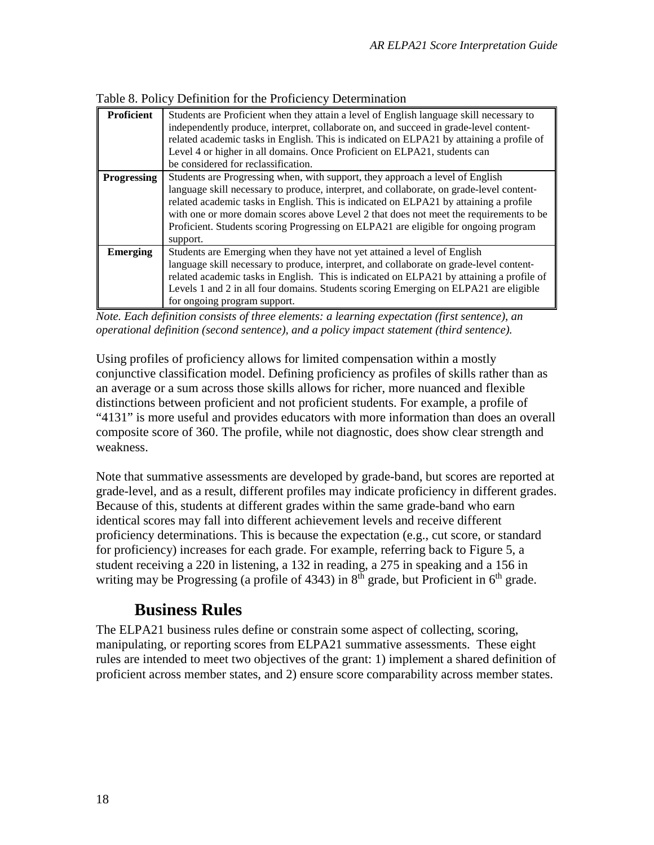|  |  |  | Table 8. Policy Definition for the Proficiency Determination |
|--|--|--|--------------------------------------------------------------|
|--|--|--|--------------------------------------------------------------|

| <b>Proficient</b> | Students are Proficient when they attain a level of English language skill necessary to<br>independently produce, interpret, collaborate on, and succeed in grade-level content-<br>related academic tasks in English. This is indicated on ELPA21 by attaining a profile of<br>Level 4 or higher in all domains. Once Proficient on ELPA21, students can<br>be considered for reclassification.                                                                |
|-------------------|-----------------------------------------------------------------------------------------------------------------------------------------------------------------------------------------------------------------------------------------------------------------------------------------------------------------------------------------------------------------------------------------------------------------------------------------------------------------|
| Progressing       | Students are Progressing when, with support, they approach a level of English<br>language skill necessary to produce, interpret, and collaborate, on grade-level content-<br>related academic tasks in English. This is indicated on ELPA21 by attaining a profile<br>with one or more domain scores above Level 2 that does not meet the requirements to be<br>Proficient. Students scoring Progressing on ELPA21 are eligible for ongoing program<br>support. |
| Emerging          | Students are Emerging when they have not yet attained a level of English<br>language skill necessary to produce, interpret, and collaborate on grade-level content-<br>related academic tasks in English. This is indicated on ELPA21 by attaining a profile of<br>Levels 1 and 2 in all four domains. Students scoring Emerging on ELPA21 are eligible<br>for ongoing program support.                                                                         |

*Note. Each definition consists of three elements: a learning expectation (first sentence), an operational definition (second sentence), and a policy impact statement (third sentence).* 

Using profiles of proficiency allows for limited compensation within a mostly conjunctive classification model. Defining proficiency as profiles of skills rather than as an average or a sum across those skills allows for richer, more nuanced and flexible distinctions between proficient and not proficient students. For example, a profile of "4131" is more useful and provides educators with more information than does an overall composite score of 360. The profile, while not diagnostic, does show clear strength and weakness.

Note that summative assessments are developed by grade-band, but scores are reported at grade-level, and as a result, different profiles may indicate proficiency in different grades. Because of this, students at different grades within the same grade-band who earn identical scores may fall into different achievement levels and receive different proficiency determinations. This is because the expectation (e.g., cut score, or standard for proficiency) increases for each grade. For example, referring back to [Figure 5,](#page-15-0) a student receiving a 220 in listening, a 132 in reading, a 275 in speaking and a 156 in writing may be Progressing (a profile of 4343) in  $8<sup>th</sup>$  grade, but Proficient in  $6<sup>th</sup>$  grade.

### **Business Rules**

The ELPA21 business rules define or constrain some aspect of collecting, scoring, manipulating, or reporting scores from ELPA21 summative assessments. These eight rules are intended to meet two objectives of the grant: 1) implement a shared definition of proficient across member states, and 2) ensure score comparability across member states.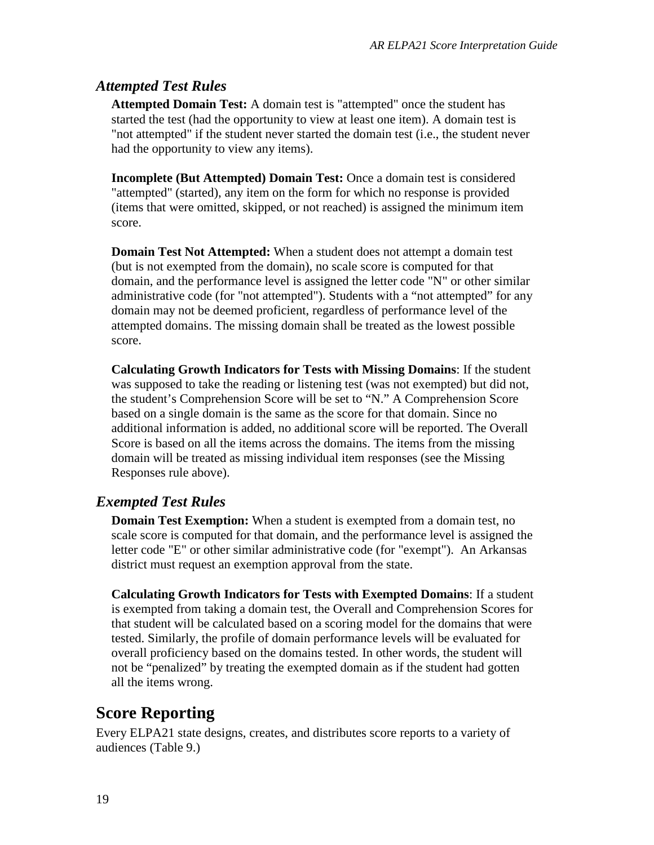#### *Attempted Test Rules*

**Attempted Domain Test:** A domain test is "attempted" once the student has started the test (had the opportunity to view at least one item). A domain test is "not attempted" if the student never started the domain test (i.e., the student never had the opportunity to view any items).

**Incomplete (But Attempted) Domain Test:** Once a domain test is considered "attempted" (started), any item on the form for which no response is provided (items that were omitted, skipped, or not reached) is assigned the minimum item score.

**Domain Test Not Attempted:** When a student does not attempt a domain test (but is not exempted from the domain), no scale score is computed for that domain, and the performance level is assigned the letter code "N" or other similar administrative code (for "not attempted"). Students with a "not attempted" for any domain may not be deemed proficient, regardless of performance level of the attempted domains. The missing domain shall be treated as the lowest possible score.

**Calculating Growth Indicators for Tests with Missing Domains**: If the student was supposed to take the reading or listening test (was not exempted) but did not, the student's Comprehension Score will be set to "N." A Comprehension Score based on a single domain is the same as the score for that domain. Since no additional information is added, no additional score will be reported. The Overall Score is based on all the items across the domains. The items from the missing domain will be treated as missing individual item responses (see the Missing Responses rule above).

#### *Exempted Test Rules*

**Domain Test Exemption:** When a student is exempted from a domain test, no scale score is computed for that domain, and the performance level is assigned the letter code "E" or other similar administrative code (for "exempt"). An Arkansas district must request an exemption approval from the state.

**Calculating Growth Indicators for Tests with Exempted Domains**: If a student is exempted from taking a domain test, the Overall and Comprehension Scores for that student will be calculated based on a scoring model for the domains that were tested. Similarly, the profile of domain performance levels will be evaluated for overall proficiency based on the domains tested. In other words, the student will not be "penalized" by treating the exempted domain as if the student had gotten all the items wrong.

### **Score Reporting**

Every ELPA21 state designs, creates, and distributes score reports to a variety of audiences (Table 9.)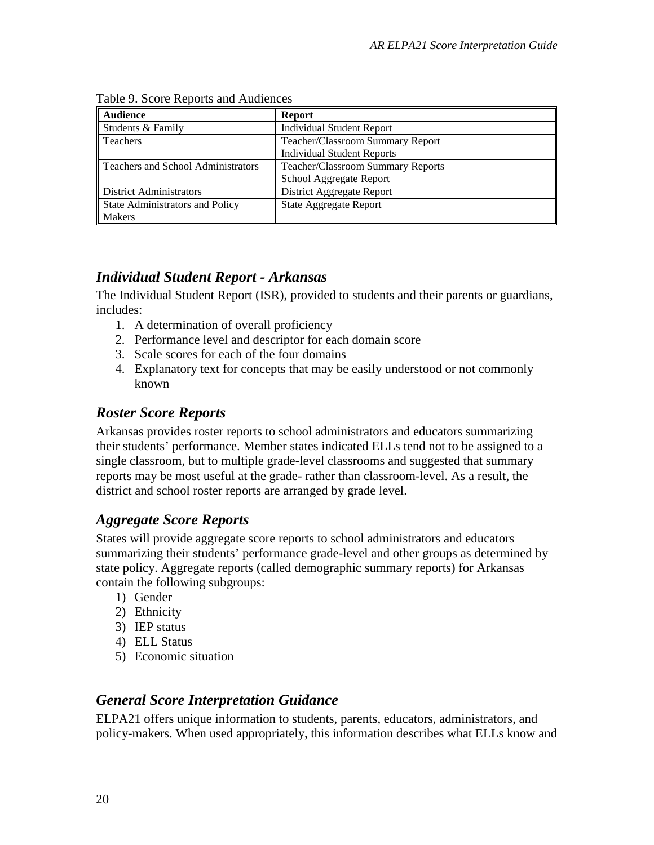| <b>Audience</b>                           | <b>Report</b>                            |
|-------------------------------------------|------------------------------------------|
| Students & Family                         | <b>Individual Student Report</b>         |
| <b>Teachers</b>                           | Teacher/Classroom Summary Report         |
|                                           | <b>Individual Student Reports</b>        |
| <b>Teachers and School Administrators</b> | <b>Teacher/Classroom Summary Reports</b> |
|                                           | School Aggregate Report                  |
| District Administrators                   | District Aggregate Report                |
| State Administrators and Policy           | <b>State Aggregate Report</b>            |
| <b>Makers</b>                             |                                          |

#### Table 9. Score Reports and Audiences

#### *Individual Student Report - Arkansas*

The Individual Student Report (ISR), provided to students and their parents or guardians, includes:

- 1. A determination of overall proficiency
- 2. Performance level and descriptor for each domain score
- 3. Scale scores for each of the four domains
- 4. Explanatory text for concepts that may be easily understood or not commonly known

#### *Roster Score Reports*

Arkansas provides roster reports to school administrators and educators summarizing their students' performance. Member states indicated ELLs tend not to be assigned to a single classroom, but to multiple grade-level classrooms and suggested that summary reports may be most useful at the grade- rather than classroom-level. As a result, the district and school roster reports are arranged by grade level.

#### *Aggregate Score Reports*

States will provide aggregate score reports to school administrators and educators summarizing their students' performance grade-level and other groups as determined by state policy. Aggregate reports (called demographic summary reports) for Arkansas contain the following subgroups:

- 1) Gender
- 2) Ethnicity
- 3) IEP status
- 4) ELL Status
- 5) Economic situation

#### *General Score Interpretation Guidance*

ELPA21 offers unique information to students, parents, educators, administrators, and policy-makers. When used appropriately, this information describes what ELLs know and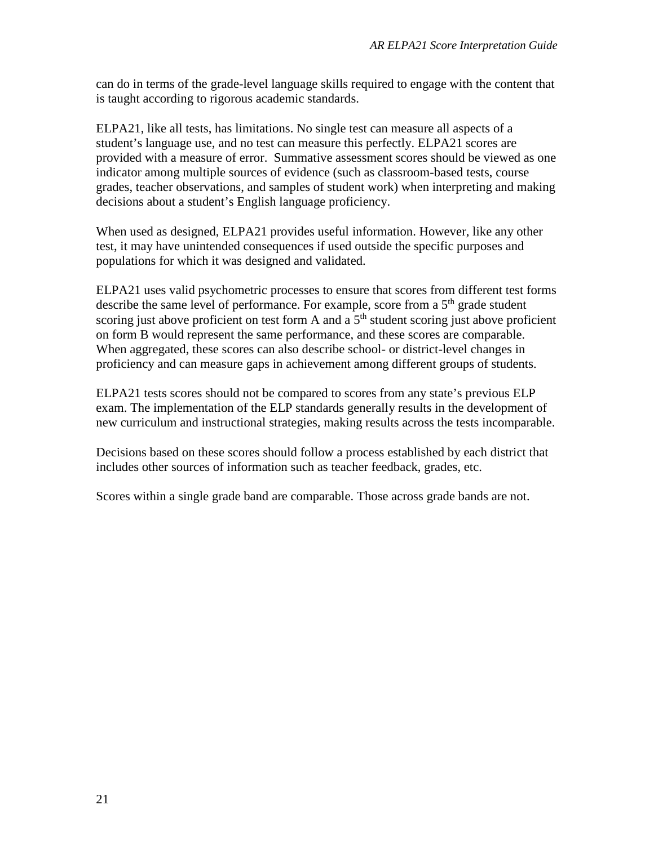can do in terms of the grade-level language skills required to engage with the content that is taught according to rigorous academic standards.

ELPA21, like all tests, has limitations. No single test can measure all aspects of a student's language use, and no test can measure this perfectly. ELPA21 scores are provided with a measure of error. Summative assessment scores should be viewed as one indicator among multiple sources of evidence (such as classroom-based tests, course grades, teacher observations, and samples of student work) when interpreting and making decisions about a student's English language proficiency.

When used as designed, ELPA21 provides useful information. However, like any other test, it may have unintended consequences if used outside the specific purposes and populations for which it was designed and validated.

ELPA21 uses valid psychometric processes to ensure that scores from different test forms describe the same level of performance. For example, score from a  $5<sup>th</sup>$  grade student scoring just above proficient on test form A and a  $5<sup>th</sup>$  student scoring just above proficient on form B would represent the same performance, and these scores are comparable. When aggregated, these scores can also describe school- or district-level changes in proficiency and can measure gaps in achievement among different groups of students.

ELPA21 tests scores should not be compared to scores from any state's previous ELP exam. The implementation of the ELP standards generally results in the development of new curriculum and instructional strategies, making results across the tests incomparable.

Decisions based on these scores should follow a process established by each district that includes other sources of information such as teacher feedback, grades, etc.

Scores within a single grade band are comparable. Those across grade bands are not.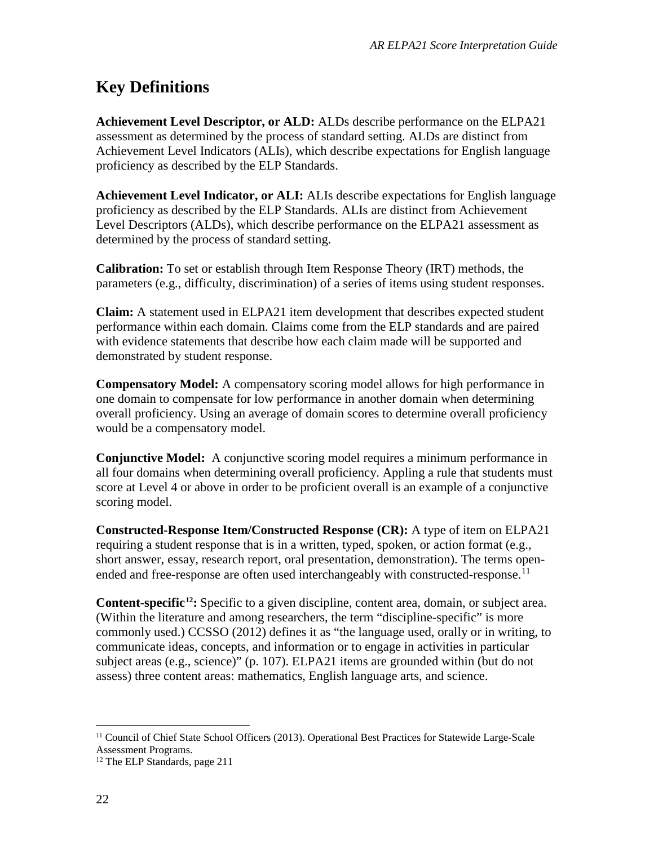# **Key Definitions**

**Achievement Level Descriptor, or ALD:** ALDs describe performance on the ELPA21 assessment as determined by the process of standard setting. ALDs are distinct from Achievement Level Indicators (ALIs), which describe expectations for English language proficiency as described by the ELP Standards.

**Achievement Level Indicator, or ALI:** ALIs describe expectations for English language proficiency as described by the ELP Standards. ALIs are distinct from Achievement Level Descriptors (ALDs), which describe performance on the ELPA21 assessment as determined by the process of standard setting.

**Calibration:** To set or establish through Item Response Theory (IRT) methods, the parameters (e.g., difficulty, discrimination) of a series of items using student responses.

**Claim:** A statement used in ELPA21 item development that describes expected student performance within each domain. Claims come from the ELP standards and are paired with evidence statements that describe how each claim made will be supported and demonstrated by student response.

**Compensatory Model:** A compensatory scoring model allows for high performance in one domain to compensate for low performance in another domain when determining overall proficiency. Using an average of domain scores to determine overall proficiency would be a compensatory model.

**Conjunctive Model:** A conjunctive scoring model requires a minimum performance in all four domains when determining overall proficiency. Appling a rule that students must score at Level 4 or above in order to be proficient overall is an example of a conjunctive scoring model.

**Constructed-Response Item/Constructed Response (CR):** A type of item on ELPA21 requiring a student response that is in a written, typed, spoken, or action format (e.g., short answer, essay, research report, oral presentation, demonstration). The terms open-ended and free-response are often used interchangeably with constructed-response.<sup>[11](#page-21-0)</sup>

**Content-specific[12:](#page-21-1)** Specific to a given discipline, content area, domain, or subject area. (Within the literature and among researchers, the term "discipline-specific" is more commonly used.) CCSSO (2012) defines it as "the language used, orally or in writing, to communicate ideas, concepts, and information or to engage in activities in particular subject areas (e.g., science)" (p. 107). ELPA21 items are grounded within (but do not assess) three content areas: mathematics, English language arts, and science.

<span id="page-21-0"></span> <sup>11</sup> Council of Chief State School Officers (2013). Operational Best Practices for Statewide Large-Scale Assessment Programs.

<span id="page-21-1"></span><sup>&</sup>lt;sup>12</sup> The ELP Standards, page 211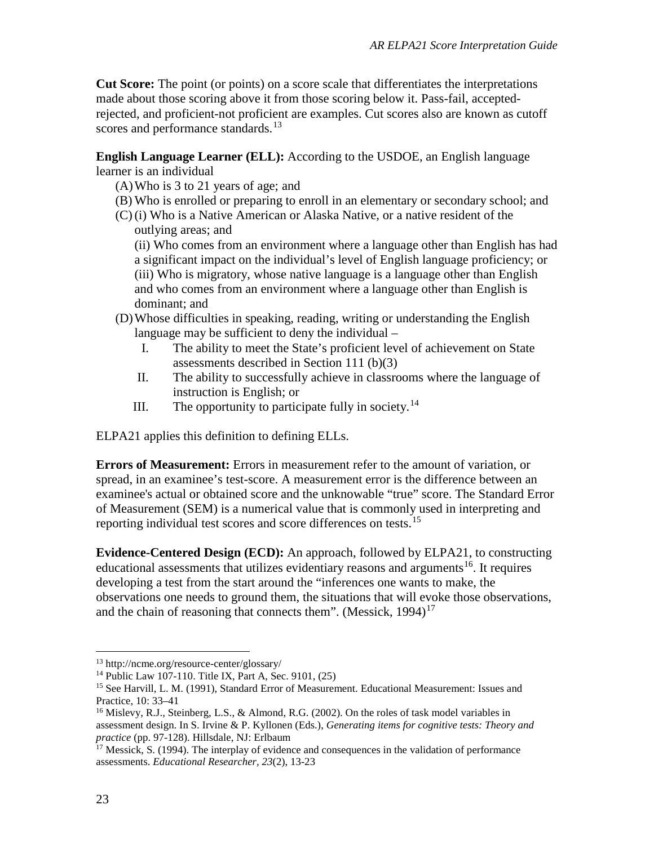**Cut Score:** The point (or points) on a score scale that differentiates the interpretations made about those scoring above it from those scoring below it. Pass-fail, acceptedrejected, and proficient-not proficient are examples. Cut scores also are known as cutoff scores and performance standards.<sup>[13](#page-22-0)</sup>

**English Language Learner (ELL):** According to the USDOE, an English language learner is an individual

- (A)Who is 3 to 21 years of age; and
- (B) Who is enrolled or preparing to enroll in an elementary or secondary school; and
- (C) (i) Who is a Native American or Alaska Native, or a native resident of the outlying areas; and

(ii) Who comes from an environment where a language other than English has had a significant impact on the individual's level of English language proficiency; or (iii) Who is migratory, whose native language is a language other than English and who comes from an environment where a language other than English is dominant; and

- (D)Whose difficulties in speaking, reading, writing or understanding the English language may be sufficient to deny the individual –
	- I. The ability to meet the State's proficient level of achievement on State assessments described in Section 111 (b)(3)
	- II. The ability to successfully achieve in classrooms where the language of instruction is English; or
	- III. The opportunity to participate fully in society.<sup>[14](#page-22-1)</sup>

ELPA21 applies this definition to defining ELLs.

**Errors of Measurement:** Errors in measurement refer to the amount of variation, or spread, in an examinee's test-score. A measurement error is the difference between an examinee's actual or obtained score and the unknowable "true" score. The Standard Error of Measurement (SEM) is a numerical value that is commonly used in interpreting and reporting individual test scores and score differences on tests.<sup>[15](#page-22-2)</sup>

**Evidence-Centered Design (ECD):** An approach, followed by ELPA21, to constructing educational assessments that utilizes evidentiary reasons and arguments<sup>16</sup>. It requires developing a test from the start around the "inferences one wants to make, the observations one needs to ground them, the situations that will evoke those observations, and the chain of reasoning that connects them". (Messick,  $1994$ )<sup>[17](#page-22-4)</sup>

<span id="page-22-0"></span> <sup>13</sup> http://ncme.org/resource-center/glossary/

<span id="page-22-1"></span><sup>&</sup>lt;sup>14</sup> Public Law 107-110. Title IX, Part A, Sec. 9101,  $(25)$ 

<span id="page-22-2"></span><sup>15</sup> See Harvill, L. M. (1991), Standard Error of Measurement. Educational Measurement: Issues and Practice, 10: 33–41

<span id="page-22-3"></span><sup>&</sup>lt;sup>16</sup> Mislevy, R.J., Steinberg, L.S., & Almond, R.G. (2002). On the roles of task model variables in assessment design. In S. Irvine & P. Kyllonen (Eds.), *Generating items for cognitive tests: Theory and practice* (pp. 97-128). Hillsdale, NJ: Erlbaum

<span id="page-22-4"></span> $17$  Messick, S. (1994). The interplay of evidence and consequences in the validation of performance assessments. *Educational Researcher, 23*(2), 13-23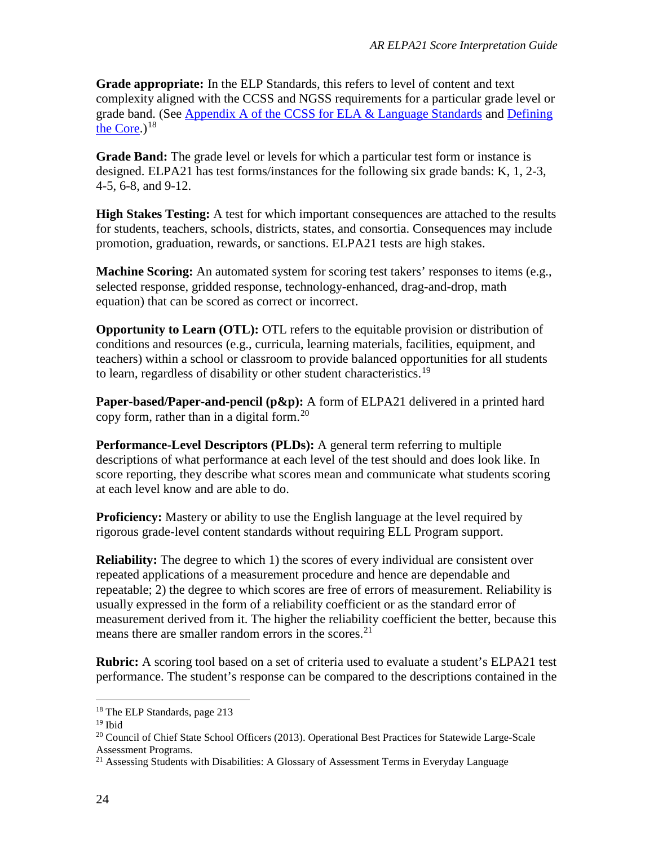**Grade appropriate:** In the ELP Standards, this refers to level of content and text complexity aligned with the CCSS and NGSS requirements for a particular grade level or grade band. (See [Appendix A of the CCSS for ELA & Language Standards](http://www.corestandards.org/assets/Appendix_A.pdf) and [Defining](http://definingthecore.com/index.php)  [the Core.](http://definingthecore.com/index.php)) $18$ 

**Grade Band:** The grade level or levels for which a particular test form or instance is designed. ELPA21 has test forms/instances for the following six grade bands: K, 1, 2-3, 4-5, 6-8, and 9-12.

**High Stakes Testing:** A test for which important consequences are attached to the results for students, teachers, schools, districts, states, and consortia. Consequences may include promotion, graduation, rewards, or sanctions. ELPA21 tests are high stakes.

**Machine Scoring:** An automated system for scoring test takers' responses to items (e.g., selected response, gridded response, technology-enhanced, drag-and-drop, math equation) that can be scored as correct or incorrect.

**Opportunity to Learn (OTL):** OTL refers to the equitable provision or distribution of conditions and resources (e.g., curricula, learning materials, facilities, equipment, and teachers) within a school or classroom to provide balanced opportunities for all students to learn, regardless of disability or other student characteristics.<sup>[19](#page-23-1)</sup>

**Paper-based/Paper-and-pencil (p&p):** A form of ELPA21 delivered in a printed hard copy form, rather than in a digital form.<sup>[20](#page-23-2)</sup>

**Performance-Level Descriptors (PLDs):** A general term referring to multiple descriptions of what performance at each level of the test should and does look like. In score reporting, they describe what scores mean and communicate what students scoring at each level know and are able to do.

**Proficiency:** Mastery or ability to use the English language at the level required by rigorous grade-level content standards without requiring ELL Program support.

**Reliability:** The degree to which 1) the scores of every individual are consistent over repeated applications of a measurement procedure and hence are dependable and repeatable; 2) the degree to which scores are free of errors of measurement. Reliability is usually expressed in the form of a reliability coefficient or as the standard error of measurement derived from it. The higher the reliability coefficient the better, because this means there are smaller random errors in the scores.<sup>[21](#page-23-3)</sup>

**Rubric:** A scoring tool based on a set of criteria used to evaluate a student's ELPA21 test performance. The student's response can be compared to the descriptions contained in the

<span id="page-23-0"></span> <sup>18</sup> The ELP Standards, page 213

<span id="page-23-2"></span><span id="page-23-1"></span><sup>&</sup>lt;sup>19</sup> Ibid<br><sup>20</sup> Council of Chief State School Officers (2013). Operational Best Practices for Statewide Large-Scale Assessment Programs.

<span id="page-23-3"></span><sup>&</sup>lt;sup>21</sup> Assessing Students with Disabilities: A Glossary of Assessment Terms in Everyday Language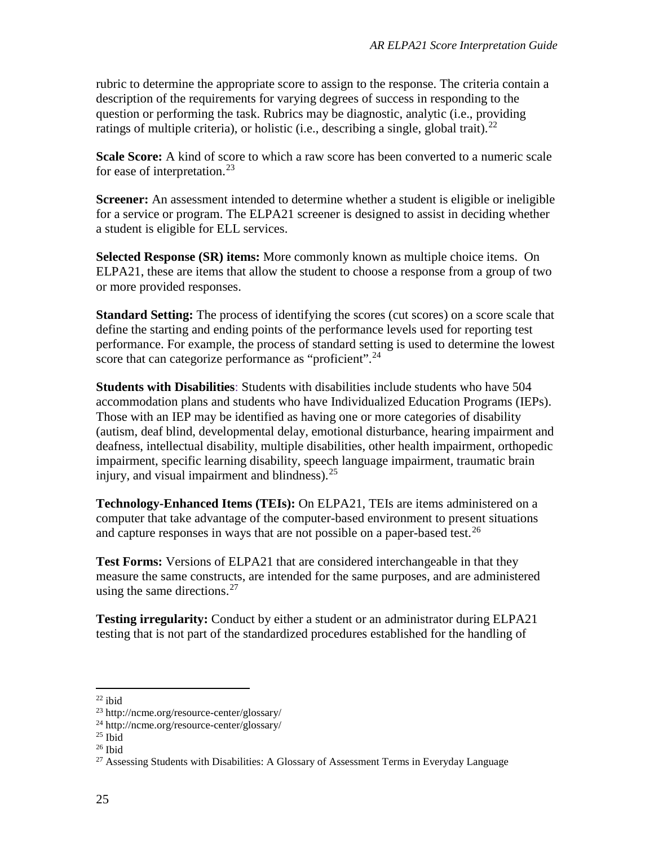rubric to determine the appropriate score to assign to the response. The criteria contain a description of the requirements for varying degrees of success in responding to the question or performing the task. Rubrics may be diagnostic, analytic (i.e., providing ratings of multiple criteria), or holistic (i.e., describing a single, global trait).<sup>[22](#page-24-0)</sup>

**Scale Score:** A kind of score to which a raw score has been converted to a numeric scale for ease of interpretation.<sup>[23](#page-24-1)</sup>

**Screener:** An assessment intended to determine whether a student is eligible or ineligible for a service or program. The ELPA21 screener is designed to assist in deciding whether a student is eligible for ELL services.

**Selected Response (SR) items:** More commonly known as multiple choice items. On ELPA21, these are items that allow the student to choose a response from a group of two or more provided responses.

**Standard Setting:** The process of identifying the scores (cut scores) on a score scale that define the starting and ending points of the performance levels used for reporting test performance. For example, the process of standard setting is used to determine the lowest score that can categorize performance as "proficient".<sup>[24](#page-24-2)</sup>

**Students with Disabilities**: Students with disabilities include students who have 504 accommodation plans and students who have Individualized Education Programs (IEPs). Those with an IEP may be identified as having one or more categories of disability (autism, deaf blind, developmental delay, emotional disturbance, hearing impairment and deafness, intellectual disability, multiple disabilities, other health impairment, orthopedic impairment, specific learning disability, speech language impairment, traumatic brain injury, and visual impairment and blindness).<sup>[25](#page-24-3)</sup>

**Technology-Enhanced Items (TEIs):** On ELPA21, TEIs are items administered on a computer that take advantage of the computer-based environment to present situations and capture responses in ways that are not possible on a paper-based test.<sup>[26](#page-24-4)</sup>

**Test Forms:** Versions of ELPA21 that are considered interchangeable in that they measure the same constructs, are intended for the same purposes, and are administered using the same directions. $27$ 

**Testing irregularity:** Conduct by either a student or an administrator during ELPA21 testing that is not part of the standardized procedures established for the handling of

<span id="page-24-1"></span><span id="page-24-0"></span><sup>&</sup>lt;sup>22</sup> ibid  $^{23}$  http://ncme.org/resource-center/glossary/

<sup>24</sup> http://ncme.org/resource-center/glossary/

<span id="page-24-3"></span><span id="page-24-2"></span> $25$  Ibid

<span id="page-24-4"></span> $26$  Ibid

<span id="page-24-5"></span><sup>&</sup>lt;sup>27</sup> Assessing Students with Disabilities: A Glossary of Assessment Terms in Everyday Language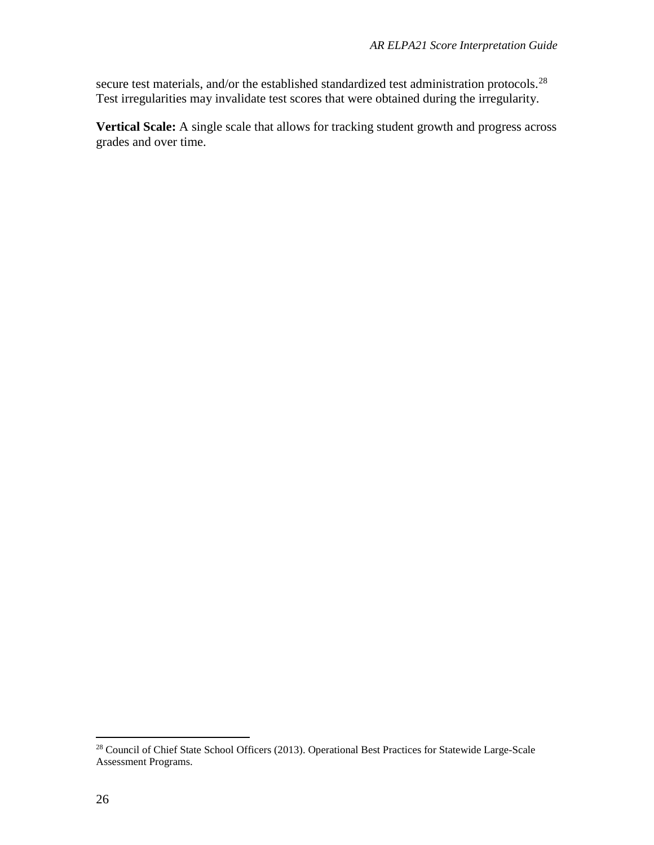secure test materials, and/or the established standardized test administration protocols.<sup>[28](#page-25-0)</sup> Test irregularities may invalidate test scores that were obtained during the irregularity.

**Vertical Scale:** A single scale that allows for tracking student growth and progress across grades and over time.

<span id="page-25-0"></span> <sup>28</sup> Council of Chief State School Officers (2013). Operational Best Practices for Statewide Large-Scale Assessment Programs.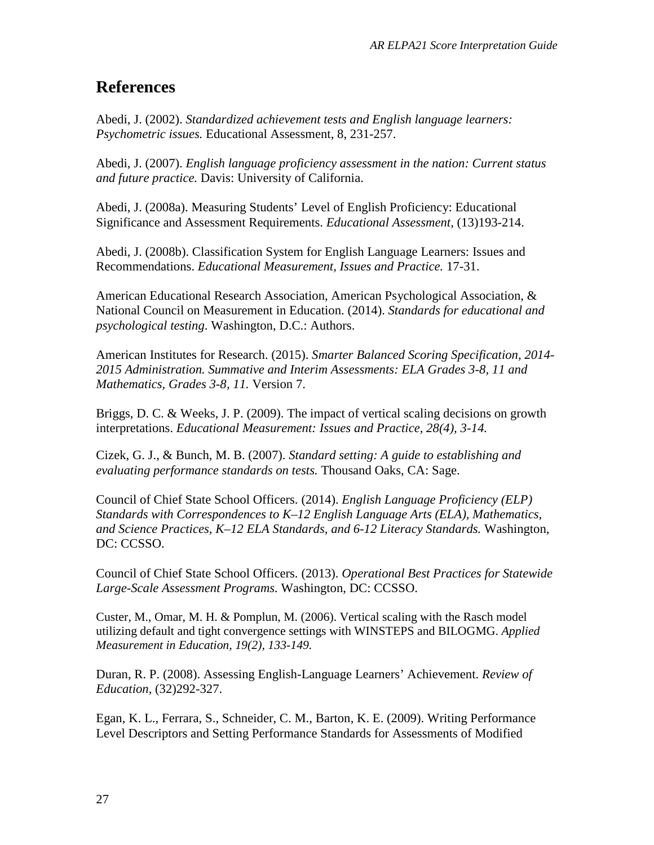# **References**

Abedi, J. (2002). *Standardized achievement tests and English language learners: Psychometric issues.* Educational Assessment, 8, 231-257.

Abedi, J. (2007). *English language proficiency assessment in the nation: Current status and future practice.* Davis: University of California.

Abedi, J. (2008a). Measuring Students' Level of English Proficiency: Educational Significance and Assessment Requirements. *Educational Assessment*, (13)193-214.

Abedi, J. (2008b). Classification System for English Language Learners: Issues and Recommendations. *Educational Measurement, Issues and Practice.* 17-31.

American Educational Research Association, American Psychological Association, & National Council on Measurement in Education. (2014). *Standards for educational and psychological testing*. Washington, D.C.: Authors.

American Institutes for Research. (2015). *Smarter Balanced Scoring Specification, 2014- 2015 Administration. Summative and Interim Assessments: ELA Grades 3-8, 11 and Mathematics, Grades 3-8, 11.* Version 7.

Briggs, D. C. & Weeks, J. P. (2009). The impact of vertical scaling decisions on growth interpretations. *Educational Measurement: Issues and Practice, 28(4), 3-14.*

Cizek, G. J., & Bunch, M. B. (2007). *Standard setting: A guide to establishing and evaluating performance standards on tests.* Thousand Oaks, CA: Sage.

Council of Chief State School Officers. (2014). *English Language Proficiency (ELP) Standards with Correspondences to K–12 English Language Arts (ELA), Mathematics, and Science Practices, K–12 ELA Standards, and 6-12 Literacy Standards.* Washington, DC: CCSSO.

Council of Chief State School Officers. (2013). *Operational Best Practices for Statewide Large-Scale Assessment Programs.* Washington, DC: CCSSO.

Custer, M., Omar, M. H. & Pomplun, M. (2006). Vertical scaling with the Rasch model utilizing default and tight convergence settings with WINSTEPS and BILOGMG. *Applied Measurement in Education, 19(2), 133-149.*

Duran, R. P. (2008). Assessing English-Language Learners' Achievement. *Review of Education*, (32)292-327.

Egan, K. L., Ferrara, S., Schneider, C. M., Barton, K. E. (2009). Writing Performance Level Descriptors and Setting Performance Standards for Assessments of Modified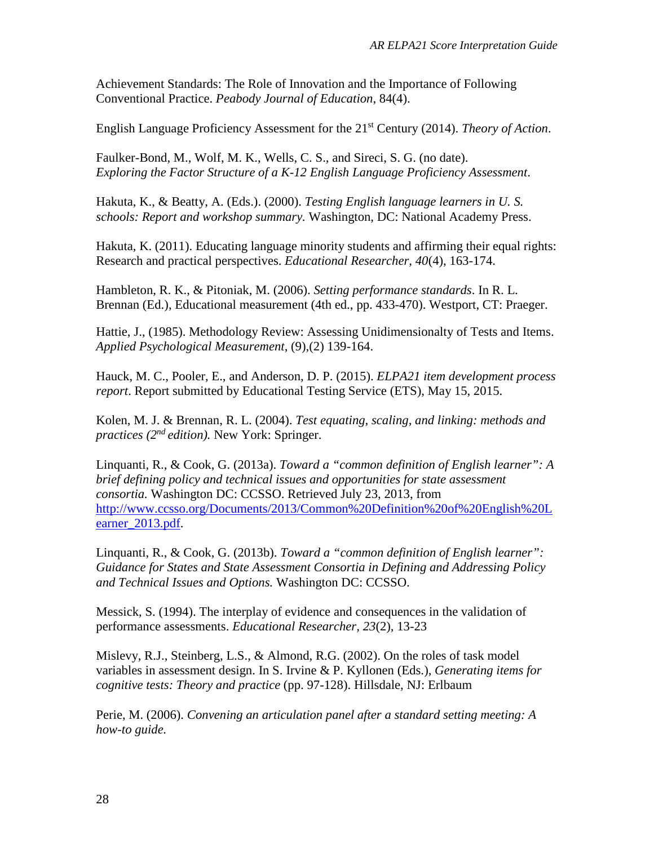Achievement Standards: The Role of Innovation and the Importance of Following Conventional Practice. *Peabody Journal of Education*, 84(4).

English Language Proficiency Assessment for the 21st Century (2014). *Theory of Action*.

Faulker-Bond, M., Wolf, M. K., Wells, C. S., and Sireci, S. G. (no date). *Exploring the Factor Structure of a K-12 English Language Proficiency Assessment*.

Hakuta, K., & Beatty, A. (Eds.). (2000). *Testing English language learners in U. S. schools: Report and workshop summary.* Washington, DC: National Academy Press.

Hakuta, K. (2011). Educating language minority students and affirming their equal rights: Research and practical perspectives. *Educational Researcher, 40*(4), 163-174.

Hambleton, R. K., & Pitoniak, M. (2006). *Setting performance standards*. In R. L. Brennan (Ed.), Educational measurement (4th ed., pp. 433-470). Westport, CT: Praeger.

Hattie, J., (1985). Methodology Review: Assessing Unidimensionalty of Tests and Items. *Applied Psychological Measurement*, (9),(2) 139-164.

Hauck, M. C., Pooler, E., and Anderson, D. P. (2015). *ELPA21 item development process report*. Report submitted by Educational Testing Service (ETS), May 15, 2015.

Kolen, M. J. & Brennan, R. L. (2004). *Test equating, scaling, and linking: methods and practices (2nd edition).* New York: Springer.

Linquanti, R., & Cook, G. (2013a). *Toward a "common definition of English learner": A brief defining policy and technical issues and opportunities for state assessment consortia.* Washington DC: CCSSO. Retrieved July 23, 2013, from [http://www.ccsso.org/Documents/2013/Common%20Definition%20of%20English%20L](http://www.ccsso.org/Documents/2013/Common%20Definition%20of%20English%20Learner_2013.pdf) [earner\\_2013.pdf.](http://www.ccsso.org/Documents/2013/Common%20Definition%20of%20English%20Learner_2013.pdf)

Linquanti, R., & Cook, G. (2013b). *Toward a "common definition of English learner": Guidance for States and State Assessment Consortia in Defining and Addressing Policy and Technical Issues and Options.* Washington DC: CCSSO.

Messick, S. (1994). The interplay of evidence and consequences in the validation of performance assessments. *Educational Researcher, 23*(2), 13-23

Mislevy, R.J., Steinberg, L.S., & Almond, R.G. (2002). On the roles of task model variables in assessment design. In S. Irvine & P. Kyllonen (Eds.), *Generating items for cognitive tests: Theory and practice* (pp. 97-128). Hillsdale, NJ: Erlbaum

Perie, M. (2006). *Convening an articulation panel after a standard setting meeting: A how-to guide.*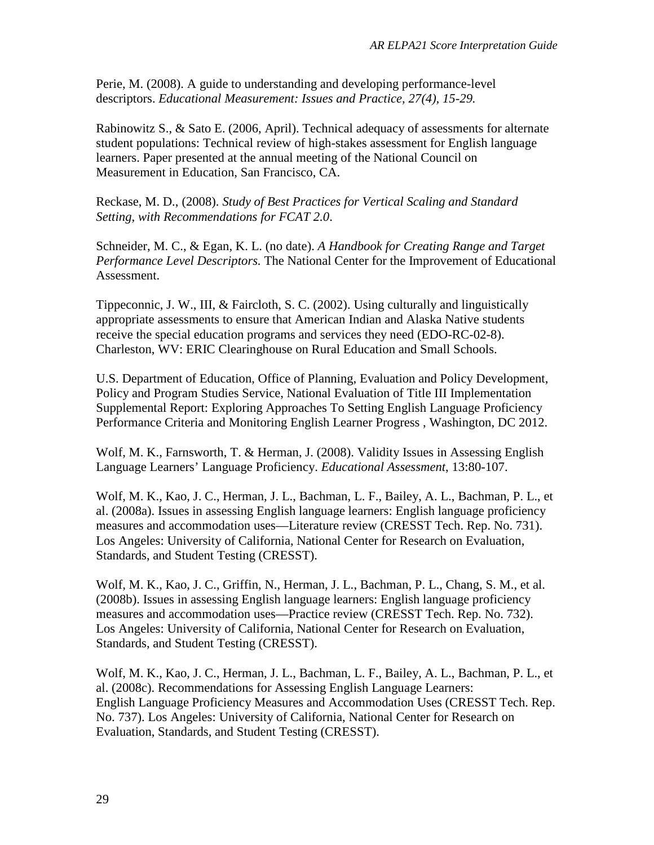Perie, M. (2008). A guide to understanding and developing performance-level descriptors. *Educational Measurement: Issues and Practice, 27(4), 15-29.* 

Rabinowitz S., & Sato E. (2006, April). Technical adequacy of assessments for alternate student populations: Technical review of high-stakes assessment for English language learners. Paper presented at the annual meeting of the National Council on Measurement in Education, San Francisco, CA.

Reckase, M. D., (2008). *Study of Best Practices for Vertical Scaling and Standard Setting, with Recommendations for FCAT 2.0*.

Schneider, M. C., & Egan, K. L. (no date). *A Handbook for Creating Range and Target Performance Level Descriptors.* The National Center for the Improvement of Educational Assessment.

Tippeconnic, J. W., III, & Faircloth, S. C. (2002). Using culturally and linguistically appropriate assessments to ensure that American Indian and Alaska Native students receive the special education programs and services they need (EDO-RC-02-8). Charleston, WV: ERIC Clearinghouse on Rural Education and Small Schools.

U.S. Department of Education, Office of Planning, Evaluation and Policy Development, Policy and Program Studies Service, National Evaluation of Title III Implementation Supplemental Report: Exploring Approaches To Setting English Language Proficiency Performance Criteria and Monitoring English Learner Progress , Washington, DC 2012.

Wolf, M. K., Farnsworth, T. & Herman, J. (2008). Validity Issues in Assessing English Language Learners' Language Proficiency. *Educational Assessment*, 13:80-107.

Wolf, M. K., Kao, J. C., Herman, J. L., Bachman, L. F., Bailey, A. L., Bachman, P. L., et al. (2008a). Issues in assessing English language learners: English language proficiency measures and accommodation uses—Literature review (CRESST Tech. Rep. No. 731). Los Angeles: University of California, National Center for Research on Evaluation, Standards, and Student Testing (CRESST).

Wolf, M. K., Kao, J. C., Griffin, N., Herman, J. L., Bachman, P. L., Chang, S. M., et al. (2008b). Issues in assessing English language learners: English language proficiency measures and accommodation uses—Practice review (CRESST Tech. Rep. No. 732). Los Angeles: University of California, National Center for Research on Evaluation, Standards, and Student Testing (CRESST).

Wolf, M. K., Kao, J. C., Herman, J. L., Bachman, L. F., Bailey, A. L., Bachman, P. L., et al. (2008c). Recommendations for Assessing English Language Learners: English Language Proficiency Measures and Accommodation Uses (CRESST Tech. Rep. No. 737). Los Angeles: University of California, National Center for Research on Evaluation, Standards, and Student Testing (CRESST).